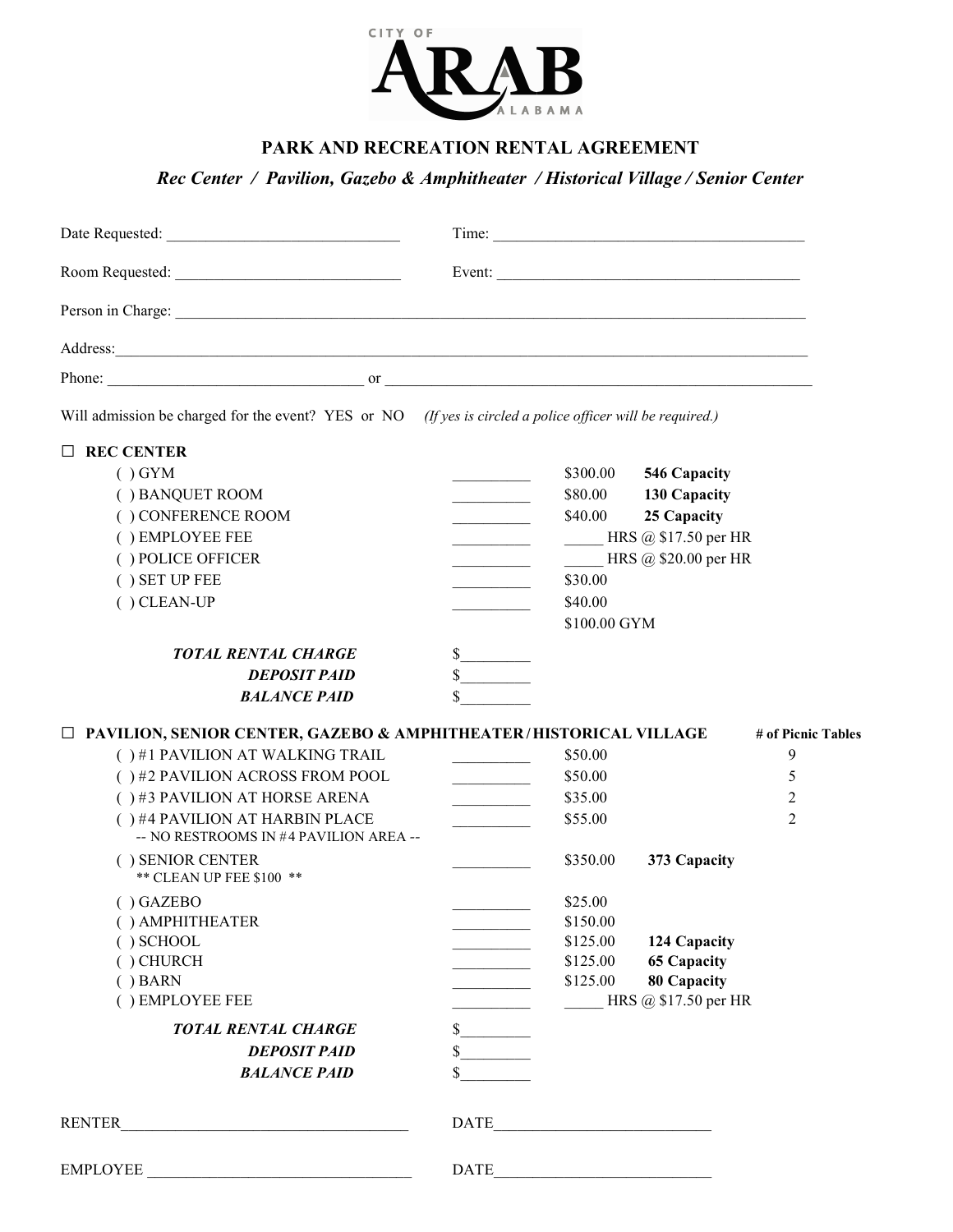

## PARK AND RECREATION RENTAL AGREEMENT

Rec Center / Pavilion, Gazebo & Amphitheater / Historical Village / Senior Center

| Phone: $\frac{1}{2}$ or $\frac{1}{2}$ or $\frac{1}{2}$ or $\frac{1}{2}$ or $\frac{1}{2}$ or $\frac{1}{2}$ or $\frac{1}{2}$ or $\frac{1}{2}$ or $\frac{1}{2}$ or $\frac{1}{2}$ or $\frac{1}{2}$ or $\frac{1}{2}$ or $\frac{1}{2}$ or $\frac{1}{2}$ or $\frac{1}{2}$ or $\frac{1}{2}$ or $\frac{1}{$ |                                                                                         |                                                                                                                       |                    |
|----------------------------------------------------------------------------------------------------------------------------------------------------------------------------------------------------------------------------------------------------------------------------------------------------|-----------------------------------------------------------------------------------------|-----------------------------------------------------------------------------------------------------------------------|--------------------|
| Will admission be charged for the event? YES or NO (If yes is circled a police officer will be required.)                                                                                                                                                                                          |                                                                                         |                                                                                                                       |                    |
| $\Box$ REC CENTER                                                                                                                                                                                                                                                                                  |                                                                                         |                                                                                                                       |                    |
| $()$ GYM                                                                                                                                                                                                                                                                                           |                                                                                         | \$300.00<br>546 Capacity                                                                                              |                    |
| () BANQUET ROOM                                                                                                                                                                                                                                                                                    |                                                                                         | \$80.00 130 Capacity                                                                                                  |                    |
| ( ) CONFERENCE ROOM                                                                                                                                                                                                                                                                                | and the company of the                                                                  | 25 Capacity<br>\$40.00                                                                                                |                    |
| () EMPLOYEE FEE                                                                                                                                                                                                                                                                                    |                                                                                         | HRS @ \$17.50 per HR                                                                                                  |                    |
| () POLICE OFFICER                                                                                                                                                                                                                                                                                  | <b>Contract Contract Contract</b>                                                       | HRS $\omega$ \$20.00 per HR                                                                                           |                    |
| () SET UP FEE                                                                                                                                                                                                                                                                                      |                                                                                         | \$30.00                                                                                                               |                    |
| $( )$ CLEAN-UP                                                                                                                                                                                                                                                                                     |                                                                                         | \$40.00                                                                                                               |                    |
|                                                                                                                                                                                                                                                                                                    |                                                                                         | \$100.00 GYM                                                                                                          |                    |
| <b>TOTAL RENTAL CHARGE</b>                                                                                                                                                                                                                                                                         | $\frac{\text{S}}{\text{S}}$                                                             |                                                                                                                       |                    |
| <b>DEPOSIT PAID</b>                                                                                                                                                                                                                                                                                | $\sim$                                                                                  |                                                                                                                       |                    |
| <b>BALANCE PAID</b>                                                                                                                                                                                                                                                                                |                                                                                         |                                                                                                                       |                    |
|                                                                                                                                                                                                                                                                                                    |                                                                                         |                                                                                                                       |                    |
| $\Box$ PAVILION, SENIOR CENTER, GAZEBO & AMPHITHEATER/HISTORICAL VILLAGE                                                                                                                                                                                                                           |                                                                                         |                                                                                                                       | # of Picnic Tables |
| () #1 PAVILION AT WALKING TRAIL                                                                                                                                                                                                                                                                    | and the company of the company                                                          | \$50.00                                                                                                               | 9                  |
| ()#2 PAVILION ACROSS FROM POOL                                                                                                                                                                                                                                                                     | $\mathcal{L}^{\text{max}}_{\text{max}}$ , where $\mathcal{L}^{\text{max}}_{\text{max}}$ | \$50.00                                                                                                               | 5                  |
| $( )$ #3 PAVILION AT HORSE ARENA                                                                                                                                                                                                                                                                   | <u> 1989 - Johann Barnett, fransk politiker</u>                                         | \$35.00                                                                                                               | 2                  |
| () #4 PAVILION AT HARBIN PLACE                                                                                                                                                                                                                                                                     | $\overline{\phantom{a}}$                                                                | \$55.00                                                                                                               | 2                  |
| -- NO RESTROOMS IN #4 PAVILION AREA --                                                                                                                                                                                                                                                             |                                                                                         |                                                                                                                       |                    |
| () SENIOR CENTER                                                                                                                                                                                                                                                                                   |                                                                                         | \$350.00<br>373 Capacity                                                                                              |                    |
| ** CLEAN UP FEE \$100 **                                                                                                                                                                                                                                                                           |                                                                                         |                                                                                                                       |                    |
| $( )$ GAZEBO                                                                                                                                                                                                                                                                                       |                                                                                         | \$25.00                                                                                                               |                    |
| () AMPHITHEATER                                                                                                                                                                                                                                                                                    |                                                                                         | \$150.00                                                                                                              |                    |
| $( )$ SCHOOL                                                                                                                                                                                                                                                                                       |                                                                                         | \$125.00                                                                                                              | 124 Capacity       |
| $( )$ CHURCH                                                                                                                                                                                                                                                                                       |                                                                                         | <b>65 Capacity</b><br>\$125.00                                                                                        |                    |
| $( )$ BARN                                                                                                                                                                                                                                                                                         |                                                                                         | <b>80 Capacity</b><br>\$125.00                                                                                        |                    |
| () EMPLOYEE FEE                                                                                                                                                                                                                                                                                    |                                                                                         | HRS $@$ \$17.50 per HR                                                                                                |                    |
| <b>TOTAL RENTAL CHARGE</b>                                                                                                                                                                                                                                                                         | $\sim$                                                                                  |                                                                                                                       |                    |
| <b>DEPOSIT PAID</b>                                                                                                                                                                                                                                                                                |                                                                                         |                                                                                                                       |                    |
| <b>BALANCE PAID</b>                                                                                                                                                                                                                                                                                |                                                                                         |                                                                                                                       |                    |
| RENTER<br><u> 1989 - Johann John Stone, martin de Brasilia (h. 1989).</u>                                                                                                                                                                                                                          | <b>DATE</b>                                                                             | <u> 1990 - Johann John Stone, markin film yn y brening yn y brening yn y brening yn y brening yn y brening yn y b</u> |                    |